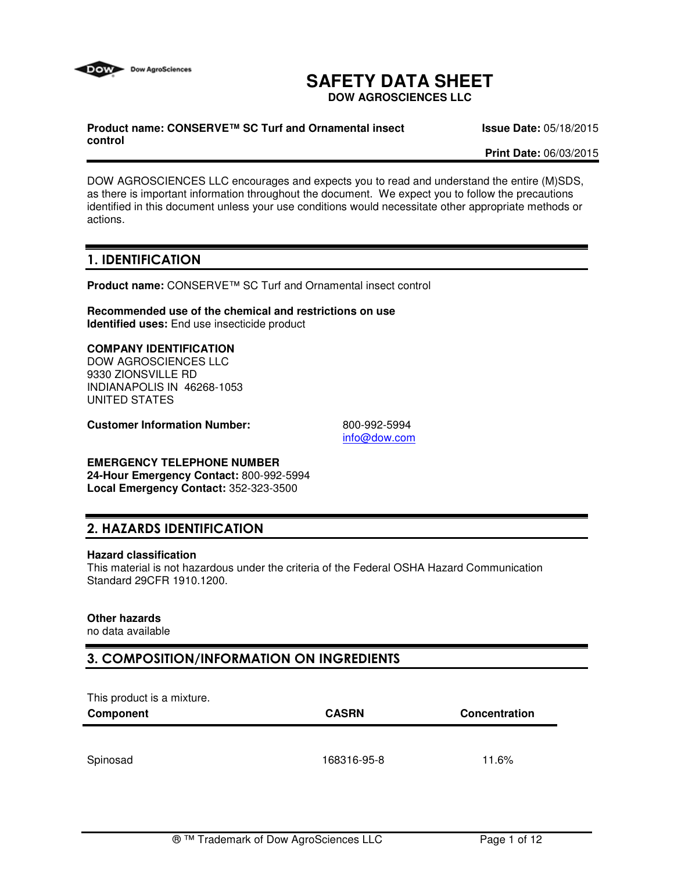

# **SAFETY DATA SHEET**

**DOW AGROSCIENCES LLC**

#### **Product name: CONSERVE™ SC Turf and Ornamental insect control**

**Issue Date:** 05/18/2015

**Print Date:** 06/03/2015

DOW AGROSCIENCES LLC encourages and expects you to read and understand the entire (M)SDS, as there is important information throughout the document. We expect you to follow the precautions identified in this document unless your use conditions would necessitate other appropriate methods or actions.

# 1. IDENTIFICATION

**Product name:** CONSERVE™ SC Turf and Ornamental insect control

**Recommended use of the chemical and restrictions on use Identified uses:** End use insecticide product

#### **COMPANY IDENTIFICATION**

DOW AGROSCIENCES LLC 9330 ZIONSVILLE RD INDIANAPOLIS IN 46268-1053 UNITED STATES

**Customer Information Number:** 800-992-5994

info@dow.com

#### **EMERGENCY TELEPHONE NUMBER**

**24-Hour Emergency Contact:** 800-992-5994 **Local Emergency Contact:** 352-323-3500

# 2. HAZARDS IDENTIFICATION

#### **Hazard classification**

This material is not hazardous under the criteria of the Federal OSHA Hazard Communication Standard 29CFR 1910.1200.

#### **Other hazards**

no data available

# 3. COMPOSITION/INFORMATION ON INGREDIENTS

This product is a mixture.

| .<br>Component | <b>CASRN</b> | Concentration |
|----------------|--------------|---------------|
|                |              |               |
| Spinosad       | 168316-95-8  | 11.6%         |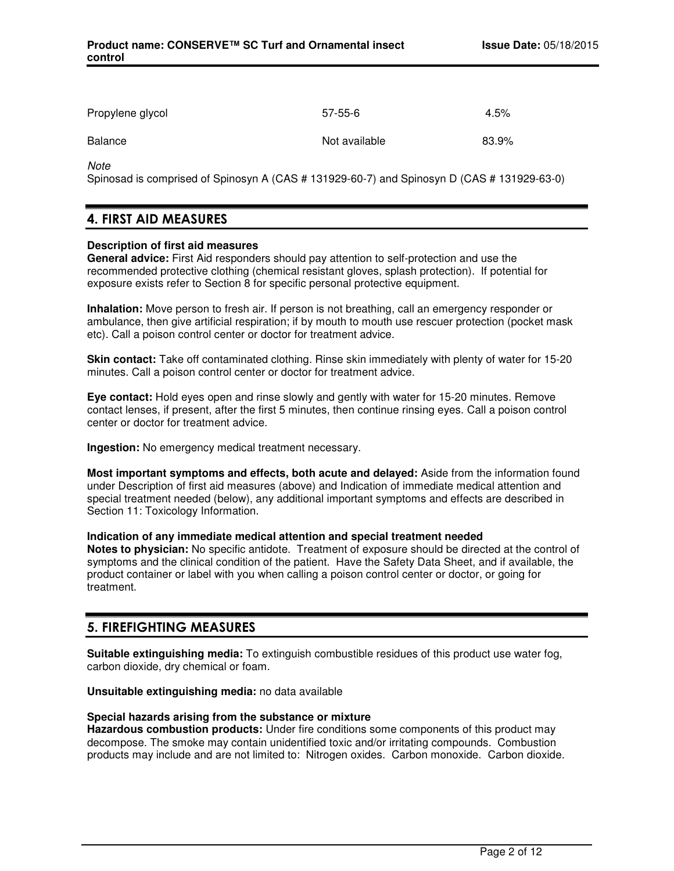| Propylene glycol | $57-55-6$     | 4.5%  |
|------------------|---------------|-------|
| Balance          | Not available | 83.9% |

**Note** 

Spinosad is comprised of Spinosyn A (CAS # 131929-60-7) and Spinosyn D (CAS # 131929-63-0)

# 4. FIRST AID MEASURES

#### **Description of first aid measures**

**General advice:** First Aid responders should pay attention to self-protection and use the recommended protective clothing (chemical resistant gloves, splash protection). If potential for exposure exists refer to Section 8 for specific personal protective equipment.

**Inhalation:** Move person to fresh air. If person is not breathing, call an emergency responder or ambulance, then give artificial respiration; if by mouth to mouth use rescuer protection (pocket mask etc). Call a poison control center or doctor for treatment advice.

**Skin contact:** Take off contaminated clothing. Rinse skin immediately with plenty of water for 15-20 minutes. Call a poison control center or doctor for treatment advice.

**Eye contact:** Hold eyes open and rinse slowly and gently with water for 15-20 minutes. Remove contact lenses, if present, after the first 5 minutes, then continue rinsing eyes. Call a poison control center or doctor for treatment advice.

**Ingestion:** No emergency medical treatment necessary.

**Most important symptoms and effects, both acute and delayed:** Aside from the information found under Description of first aid measures (above) and Indication of immediate medical attention and special treatment needed (below), any additional important symptoms and effects are described in Section 11: Toxicology Information.

#### **Indication of any immediate medical attention and special treatment needed**

**Notes to physician:** No specific antidote. Treatment of exposure should be directed at the control of symptoms and the clinical condition of the patient. Have the Safety Data Sheet, and if available, the product container or label with you when calling a poison control center or doctor, or going for treatment.

# 5. FIREFIGHTING MEASURES

**Suitable extinguishing media:** To extinguish combustible residues of this product use water fog, carbon dioxide, dry chemical or foam.

**Unsuitable extinguishing media:** no data available

#### **Special hazards arising from the substance or mixture**

**Hazardous combustion products:** Under fire conditions some components of this product may decompose. The smoke may contain unidentified toxic and/or irritating compounds. Combustion products may include and are not limited to: Nitrogen oxides. Carbon monoxide. Carbon dioxide.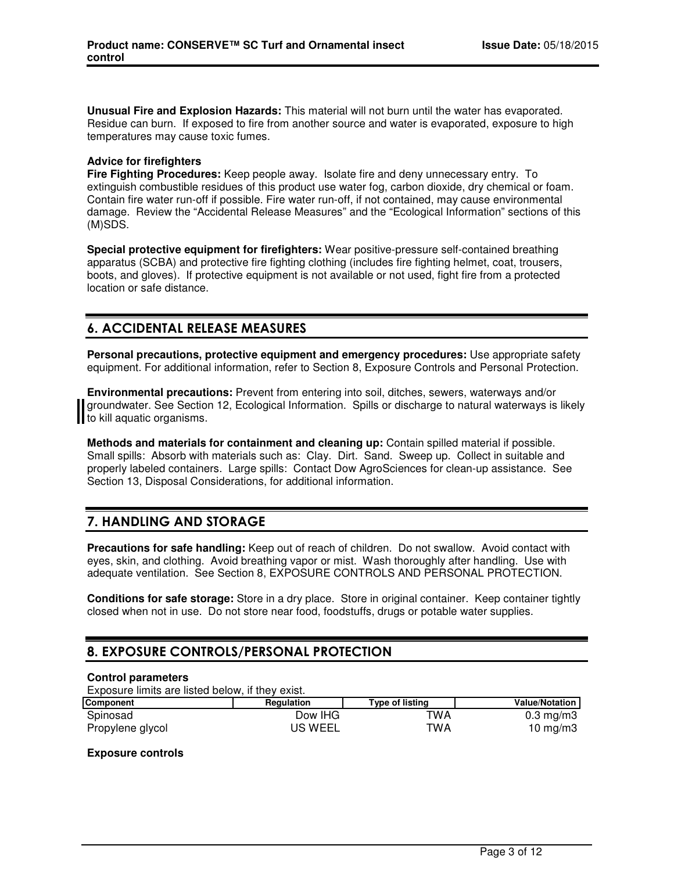**Unusual Fire and Explosion Hazards:** This material will not burn until the water has evaporated. Residue can burn. If exposed to fire from another source and water is evaporated, exposure to high temperatures may cause toxic fumes.

#### **Advice for firefighters**

**Fire Fighting Procedures:** Keep people away. Isolate fire and deny unnecessary entry. To extinguish combustible residues of this product use water fog, carbon dioxide, dry chemical or foam. Contain fire water run-off if possible. Fire water run-off, if not contained, may cause environmental damage. Review the "Accidental Release Measures" and the "Ecological Information" sections of this (M)SDS.

**Special protective equipment for firefighters:** Wear positive-pressure self-contained breathing apparatus (SCBA) and protective fire fighting clothing (includes fire fighting helmet, coat, trousers, boots, and gloves). If protective equipment is not available or not used, fight fire from a protected location or safe distance.

# 6. ACCIDENTAL RELEASE MEASURES

**Personal precautions, protective equipment and emergency procedures:** Use appropriate safety equipment. For additional information, refer to Section 8, Exposure Controls and Personal Protection.

**Environmental precautions:** Prevent from entering into soil, ditches, sewers, waterways and/or groundwater. See Section 12, Ecological Information. Spills or discharge to natural waterways is likely to kill aquatic organisms.

**Methods and materials for containment and cleaning up:** Contain spilled material if possible. Small spills: Absorb with materials such as: Clay. Dirt. Sand. Sweep up. Collect in suitable and properly labeled containers. Large spills: Contact Dow AgroSciences for clean-up assistance. See Section 13, Disposal Considerations, for additional information.

# 7. HANDLING AND STORAGE

**Precautions for safe handling:** Keep out of reach of children. Do not swallow. Avoid contact with eyes, skin, and clothing. Avoid breathing vapor or mist. Wash thoroughly after handling. Use with adequate ventilation. See Section 8, EXPOSURE CONTROLS AND PERSONAL PROTECTION.

**Conditions for safe storage:** Store in a dry place. Store in original container. Keep container tightly closed when not in use. Do not store near food, foodstuffs, drugs or potable water supplies.

# 8. EXPOSURE CONTROLS/PERSONAL PROTECTION

#### **Control parameters**

Exposure limits are listed below, if they exist.

| <b>Component</b> | <b>Regulation</b> | Type of listing | <b>Value/Notation</b> |
|------------------|-------------------|-----------------|-----------------------|
| Spinosad         | Dow IHG           | TWA             | $0.3 \text{ mg/m}$    |
| Propylene glycol | <b>US WEEL</b>    | TWA             | 10 mg/m $3$           |

#### **Exposure controls**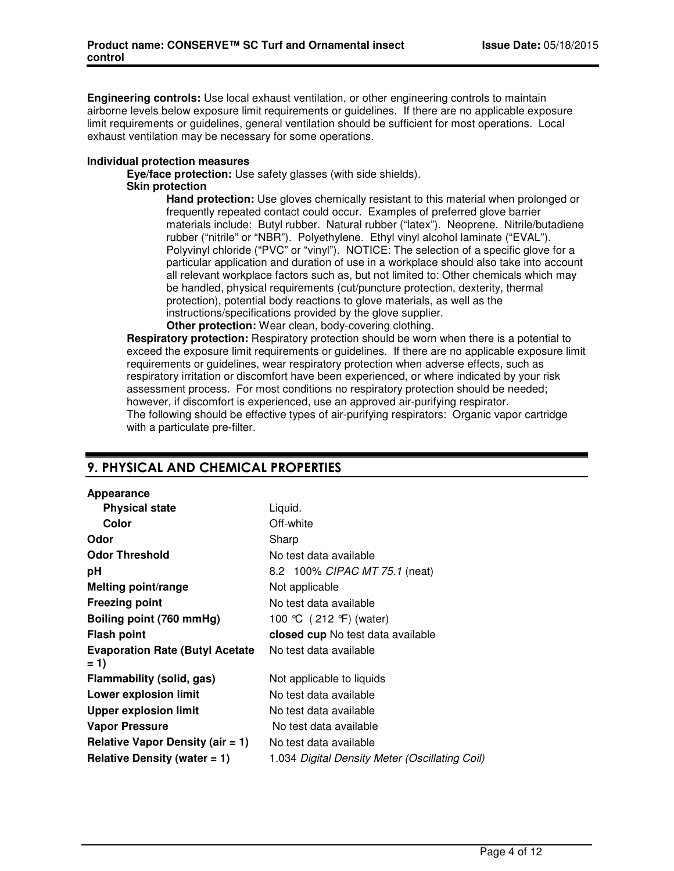**Engineering controls:** Use local exhaust ventilation, or other engineering controls to maintain airborne levels below exposure limit requirements or guidelines. If there are no applicable exposure limit requirements or guidelines, general ventilation should be sufficient for most operations. Local exhaust ventilation may be necessary for some operations.

#### **Individual protection measures**

**Eye/face protection:** Use safety glasses (with side shields).

#### **Skin protection**

**Hand protection:** Use gloves chemically resistant to this material when prolonged or frequently repeated contact could occur. Examples of preferred glove barrier materials include: Butyl rubber. Natural rubber ("latex"). Neoprene. Nitrile/butadiene rubber ("nitrile" or "NBR"). Polyethylene. Ethyl vinyl alcohol laminate ("EVAL"). Polyvinyl chloride ("PVC" or "vinyl"). NOTICE: The selection of a specific glove for a particular application and duration of use in a workplace should also take into account all relevant workplace factors such as, but not limited to: Other chemicals which may be handled, physical requirements (cut/puncture protection, dexterity, thermal protection), potential body reactions to glove materials, as well as the instructions/specifications provided by the glove supplier.

**Other protection:** Wear clean, body-covering clothing.

**Respiratory protection:** Respiratory protection should be worn when there is a potential to exceed the exposure limit requirements or guidelines. If there are no applicable exposure limit requirements or guidelines, wear respiratory protection when adverse effects, such as respiratory irritation or discomfort have been experienced, or where indicated by your risk assessment process. For most conditions no respiratory protection should be needed; however, if discomfort is experienced, use an approved air-purifying respirator. The following should be effective types of air-purifying respirators: Organic vapor cartridge with a particulate pre-filter.

# 9. PHYSICAL AND CHEMICAL PROPERTIES

#### **Appearance**

| <b>Physical state</b>                           | Liquid.                                        |
|-------------------------------------------------|------------------------------------------------|
| Color                                           | Off-white                                      |
| Odor                                            | Sharp                                          |
| <b>Odor Threshold</b>                           | No test data available                         |
| рH                                              | 8.2 100% CIPAC MT 75.1 (neat)                  |
| <b>Melting point/range</b>                      | Not applicable                                 |
| <b>Freezing point</b>                           | No test data available                         |
| Boiling point (760 mmHg)                        | 100 °C (212 °F) (water)                        |
| <b>Flash point</b>                              | closed cup No test data available              |
| <b>Evaporation Rate (Butyl Acetate</b><br>$= 1$ | No test data available                         |
| Flammability (solid, gas)                       | Not applicable to liquids                      |
| <b>Lower explosion limit</b>                    | No test data available                         |
| <b>Upper explosion limit</b>                    | No test data available                         |
| <b>Vapor Pressure</b>                           | No test data available                         |
| Relative Vapor Density (air $= 1$ )             | No test data available                         |
| Relative Density (water $= 1$ )                 | 1.034 Digital Density Meter (Oscillating Coil) |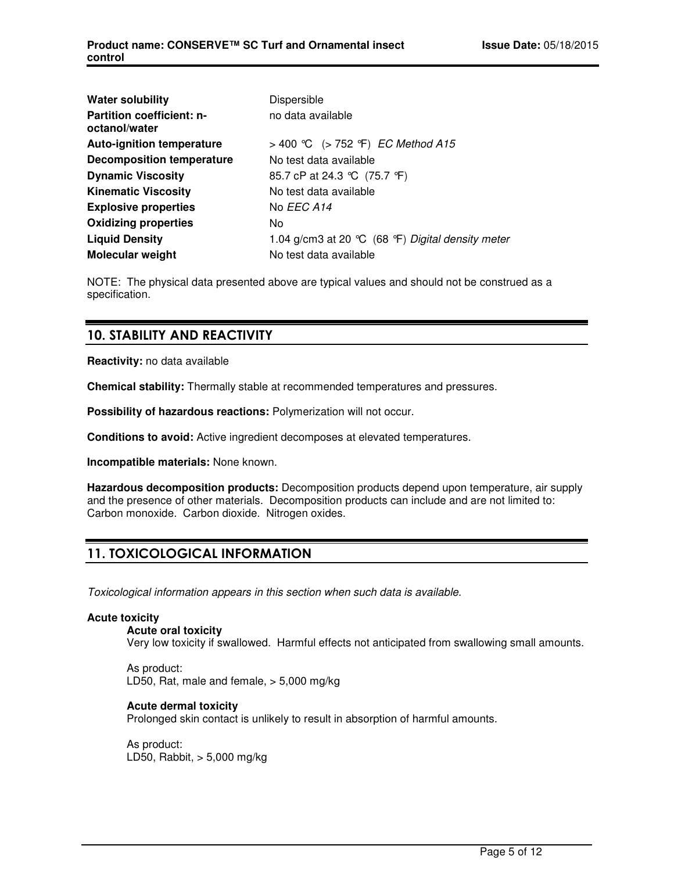| <b>Water solubility</b>                           | Dispersible                                       |
|---------------------------------------------------|---------------------------------------------------|
| <b>Partition coefficient: n-</b><br>octanol/water | no data available                                 |
| <b>Auto-ignition temperature</b>                  | > 400 °C (> 752 °F) <i>EC Method A15</i>          |
| <b>Decomposition temperature</b>                  | No test data available                            |
| <b>Dynamic Viscosity</b>                          | 85.7 cP at 24.3 ℃ (75.7 °F)                       |
| <b>Kinematic Viscosity</b>                        | No test data available                            |
| <b>Explosive properties</b>                       | No EEC A14                                        |
| <b>Oxidizing properties</b>                       | No                                                |
| <b>Liquid Density</b>                             | 1.04 g/cm3 at 20 °C (68 °F) Digital density meter |
| <b>Molecular weight</b>                           | No test data available                            |

NOTE: The physical data presented above are typical values and should not be construed as a specification.

### 10. STABILITY AND REACTIVITY

**Reactivity:** no data available

**Chemical stability:** Thermally stable at recommended temperatures and pressures.

**Possibility of hazardous reactions:** Polymerization will not occur.

**Conditions to avoid:** Active ingredient decomposes at elevated temperatures.

**Incompatible materials:** None known.

**Hazardous decomposition products:** Decomposition products depend upon temperature, air supply and the presence of other materials. Decomposition products can include and are not limited to: Carbon monoxide. Carbon dioxide. Nitrogen oxides.

# 11. TOXICOLOGICAL INFORMATION

Toxicological information appears in this section when such data is available.

#### **Acute toxicity**

**Acute oral toxicity**

Very low toxicity if swallowed. Harmful effects not anticipated from swallowing small amounts.

As product: LD50, Rat, male and female, > 5,000 mg/kg

#### **Acute dermal toxicity**

Prolonged skin contact is unlikely to result in absorption of harmful amounts.

As product: LD50, Rabbit, > 5,000 mg/kg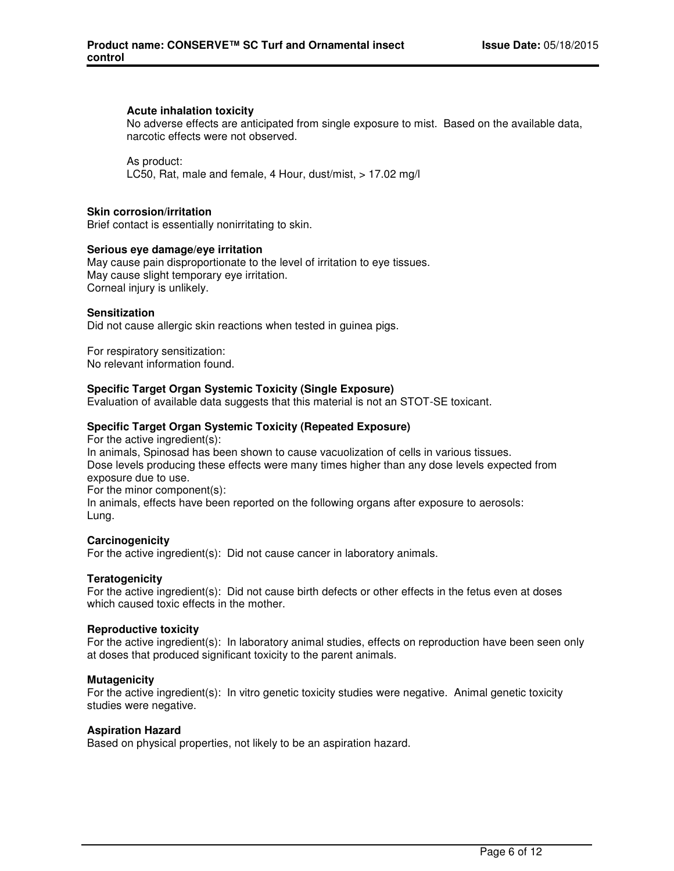#### **Acute inhalation toxicity**

No adverse effects are anticipated from single exposure to mist. Based on the available data, narcotic effects were not observed.

As product: LC50, Rat, male and female, 4 Hour, dust/mist, > 17.02 mg/l

#### **Skin corrosion/irritation**

Brief contact is essentially nonirritating to skin.

#### **Serious eye damage/eye irritation**

May cause pain disproportionate to the level of irritation to eye tissues. May cause slight temporary eye irritation. Corneal injury is unlikely.

#### **Sensitization**

Did not cause allergic skin reactions when tested in guinea pigs.

For respiratory sensitization: No relevant information found.

#### **Specific Target Organ Systemic Toxicity (Single Exposure)**

Evaluation of available data suggests that this material is not an STOT-SE toxicant.

#### **Specific Target Organ Systemic Toxicity (Repeated Exposure)**

For the active ingredient(s): In animals, Spinosad has been shown to cause vacuolization of cells in various tissues. Dose levels producing these effects were many times higher than any dose levels expected from exposure due to use. For the minor component(s): In animals, effects have been reported on the following organs after exposure to aerosols: Lung.

#### **Carcinogenicity**

For the active ingredient(s): Did not cause cancer in laboratory animals.

#### **Teratogenicity**

For the active ingredient(s): Did not cause birth defects or other effects in the fetus even at doses which caused toxic effects in the mother.

#### **Reproductive toxicity**

For the active ingredient(s): In laboratory animal studies, effects on reproduction have been seen only at doses that produced significant toxicity to the parent animals.

#### **Mutagenicity**

For the active ingredient(s): In vitro genetic toxicity studies were negative. Animal genetic toxicity studies were negative.

#### **Aspiration Hazard**

Based on physical properties, not likely to be an aspiration hazard.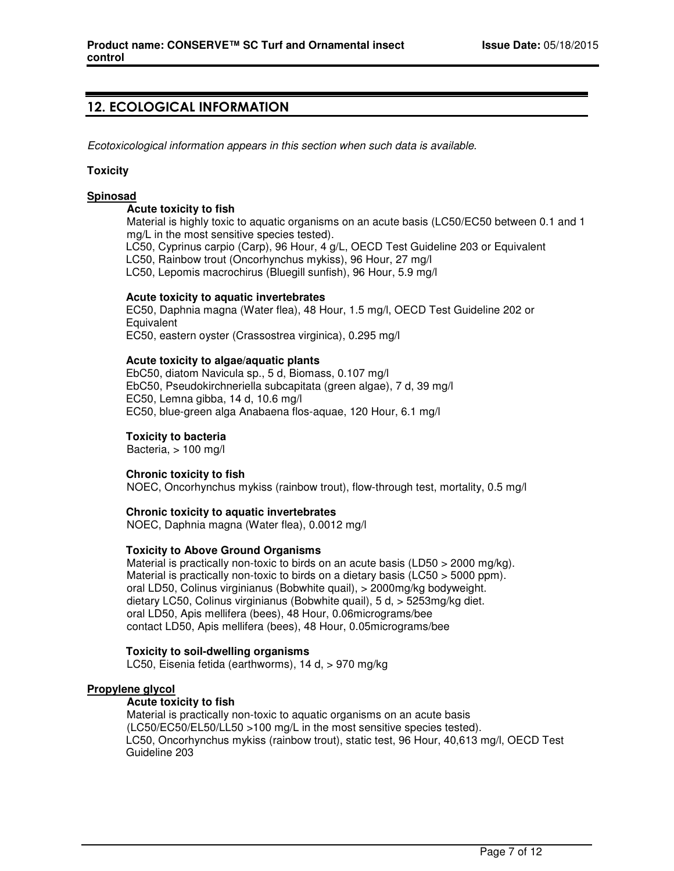# 12. ECOLOGICAL INFORMATION

Ecotoxicological information appears in this section when such data is available.

#### **Toxicity**

#### **Spinosad**

#### **Acute toxicity to fish**

Material is highly toxic to aquatic organisms on an acute basis (LC50/EC50 between 0.1 and 1 mg/L in the most sensitive species tested).

LC50, Cyprinus carpio (Carp), 96 Hour, 4 g/L, OECD Test Guideline 203 or Equivalent

LC50, Rainbow trout (Oncorhynchus mykiss), 96 Hour, 27 mg/l

LC50, Lepomis macrochirus (Bluegill sunfish), 96 Hour, 5.9 mg/l

#### **Acute toxicity to aquatic invertebrates**

EC50, Daphnia magna (Water flea), 48 Hour, 1.5 mg/l, OECD Test Guideline 202 or **Equivalent** EC50, eastern oyster (Crassostrea virginica), 0.295 mg/l

#### **Acute toxicity to algae/aquatic plants**

EbC50, diatom Navicula sp., 5 d, Biomass, 0.107 mg/l EbC50, Pseudokirchneriella subcapitata (green algae), 7 d, 39 mg/l EC50, Lemna gibba, 14 d, 10.6 mg/l EC50, blue-green alga Anabaena flos-aquae, 120 Hour, 6.1 mg/l

#### **Toxicity to bacteria**

Bacteria, > 100 mg/l

#### **Chronic toxicity to fish**

NOEC, Oncorhynchus mykiss (rainbow trout), flow-through test, mortality, 0.5 mg/l

#### **Chronic toxicity to aquatic invertebrates**

NOEC, Daphnia magna (Water flea), 0.0012 mg/l

#### **Toxicity to Above Ground Organisms**

Material is practically non-toxic to birds on an acute basis (LD50  $>$  2000 mg/kg). Material is practically non-toxic to birds on a dietary basis (LC50 > 5000 ppm). oral LD50, Colinus virginianus (Bobwhite quail), > 2000mg/kg bodyweight. dietary LC50, Colinus virginianus (Bobwhite quail), 5 d, > 5253mg/kg diet. oral LD50, Apis mellifera (bees), 48 Hour, 0.06micrograms/bee contact LD50, Apis mellifera (bees), 48 Hour, 0.05micrograms/bee

#### **Toxicity to soil-dwelling organisms**

LC50, Eisenia fetida (earthworms), 14 d, > 970 mg/kg

#### **Propylene glycol**

#### **Acute toxicity to fish**

Material is practically non-toxic to aquatic organisms on an acute basis (LC50/EC50/EL50/LL50 >100 mg/L in the most sensitive species tested). LC50, Oncorhynchus mykiss (rainbow trout), static test, 96 Hour, 40,613 mg/l, OECD Test Guideline 203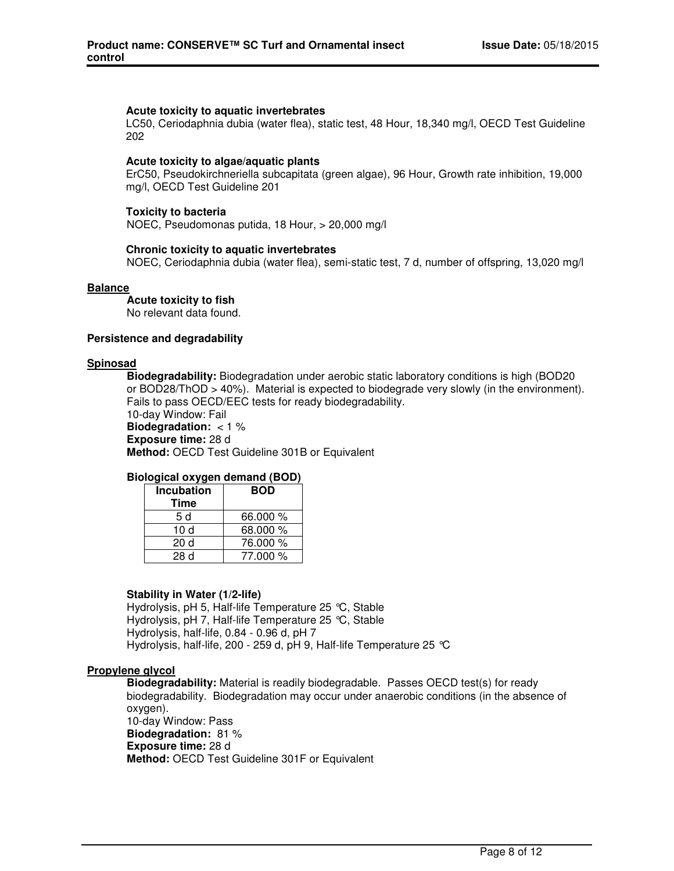#### **Acute toxicity to aquatic invertebrates**

LC50, Ceriodaphnia dubia (water flea), static test, 48 Hour, 18,340 mg/l, OECD Test Guideline 202

#### **Acute toxicity to algae/aquatic plants**

ErC50, Pseudokirchneriella subcapitata (green algae), 96 Hour, Growth rate inhibition, 19,000 mg/l, OECD Test Guideline 201

#### **Toxicity to bacteria**

NOEC, Pseudomonas putida, 18 Hour, > 20,000 mg/l

#### **Chronic toxicity to aquatic invertebrates**

NOEC, Ceriodaphnia dubia (water flea), semi-static test, 7 d, number of offspring, 13,020 mg/l

#### **Balance**

**Acute toxicity to fish** No relevant data found.

#### **Persistence and degradability**

#### **Spinosad**

**Biodegradability:** Biodegradation under aerobic static laboratory conditions is high (BOD20 or BOD28/ThOD > 40%). Material is expected to biodegrade very slowly (in the environment). Fails to pass OECD/EEC tests for ready biodegradability. 10-day Window: Fail **Biodegradation:** < 1 % **Exposure time:** 28 d **Method:** OECD Test Guideline 301B or Equivalent

#### **Biological oxygen demand (BOD)**

| <b>Incubation</b> | <b>BOD</b> |  |
|-------------------|------------|--|
| Time              |            |  |
| 5 d               | 66,000 %   |  |
| 10 $d$            | 68.000 %   |  |
| 20 d              | 76.000 %   |  |
| 28 d              | 77.000 %   |  |

#### **Stability in Water (1/2-life)**

Hydrolysis, pH 5, Half-life Temperature 25 °C, Stable Hydrolysis, pH 7, Half-life Temperature 25 °C, Stable Hydrolysis, half-life, 0.84 - 0.96 d, pH 7 Hydrolysis, half-life, 200 - 259 d, pH 9, Half-life Temperature 25 °C

#### **Propylene glycol**

**Biodegradability:** Material is readily biodegradable. Passes OECD test(s) for ready biodegradability. Biodegradation may occur under anaerobic conditions (in the absence of oxygen). 10-day Window: Pass **Biodegradation:** 81 % **Exposure time:** 28 d **Method:** OECD Test Guideline 301F or Equivalent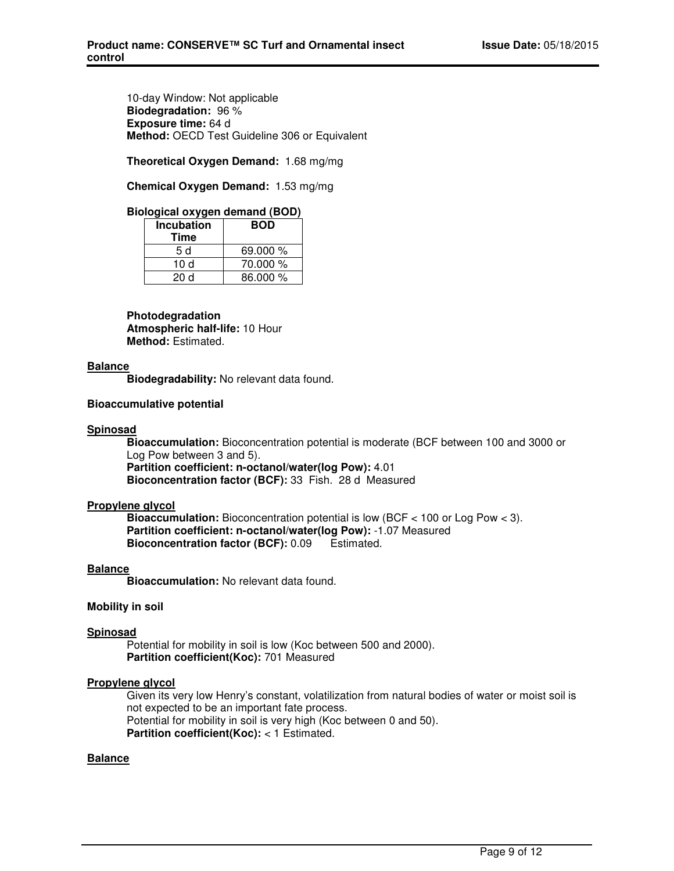10-day Window: Not applicable **Biodegradation:** 96 % **Exposure time:** 64 d **Method:** OECD Test Guideline 306 or Equivalent

**Theoretical Oxygen Demand:** 1.68 mg/mg

**Chemical Oxygen Demand:** 1.53 mg/mg

#### **Biological oxygen demand (BOD)**

| <b>Incubation</b><br>Time | <b>BOD</b> |
|---------------------------|------------|
| 5 d                       | 69.000 %   |
| 10 $d$                    | 70.000 %   |
| 20 d                      | 86.000 %   |

**Photodegradation Atmospheric half-life:** 10 Hour **Method:** Estimated.

#### **Balance**

**Biodegradability:** No relevant data found.

#### **Bioaccumulative potential**

#### **Spinosad**

**Bioaccumulation:** Bioconcentration potential is moderate (BCF between 100 and 3000 or Log Pow between 3 and 5).

**Partition coefficient: n-octanol/water(log Pow):** 4.01 **Bioconcentration factor (BCF):** 33 Fish. 28 d Measured

#### **Propylene glycol**

**Bioaccumulation:** Bioconcentration potential is low (BCF < 100 or Log Pow < 3). **Partition coefficient: n-octanol/water(log Pow):** -1.07 Measured **Bioconcentration factor (BCF):** 0.09 Estimated.

#### **Balance**

**Bioaccumulation:** No relevant data found.

#### **Mobility in soil**

#### **Spinosad**

Potential for mobility in soil is low (Koc between 500 and 2000). **Partition coefficient(Koc):** 701 Measured

#### **Propylene glycol**

Given its very low Henry's constant, volatilization from natural bodies of water or moist soil is not expected to be an important fate process. Potential for mobility in soil is very high (Koc between 0 and 50). **Partition coefficient(Koc):** < 1 Estimated.

#### **Balance**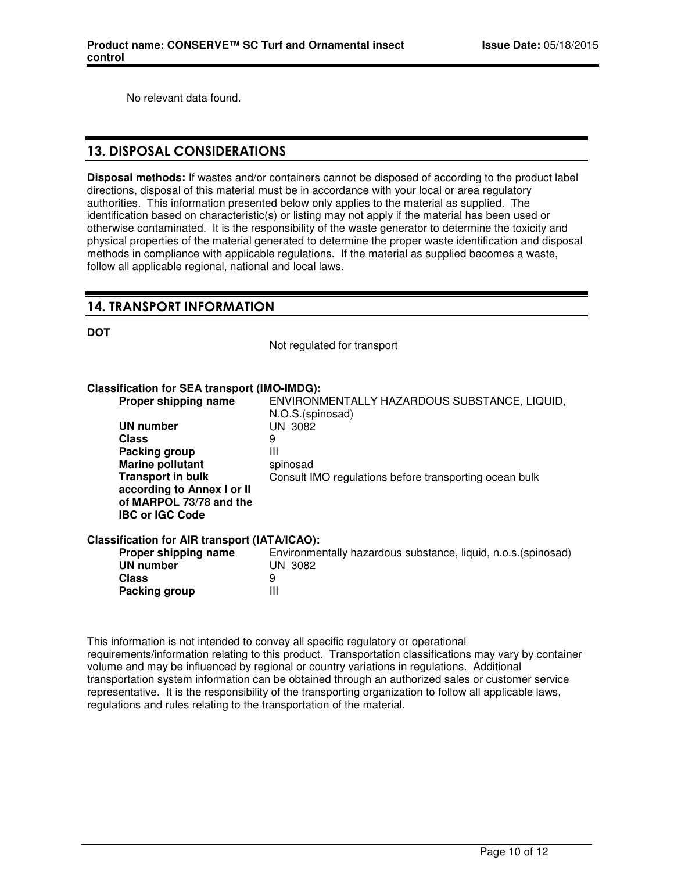No relevant data found.

# 13. DISPOSAL CONSIDERATIONS

**Disposal methods:** If wastes and/or containers cannot be disposed of according to the product label directions, disposal of this material must be in accordance with your local or area regulatory authorities. This information presented below only applies to the material as supplied. The identification based on characteristic(s) or listing may not apply if the material has been used or otherwise contaminated. It is the responsibility of the waste generator to determine the toxicity and physical properties of the material generated to determine the proper waste identification and disposal methods in compliance with applicable regulations. If the material as supplied becomes a waste, follow all applicable regional, national and local laws.

# 14. TRANSPORT INFORMATION

**DOT**

Not regulated for transport

#### **Classification for SEA transport (IMO-IMDG):**

| Proper shipping name                          | ENVIRONMENTALLY HAZARDOUS SUBSTANCE, LIQUID,<br>N.O.S.(spinosad) |
|-----------------------------------------------|------------------------------------------------------------------|
| UN number                                     | UN 3082                                                          |
| <b>Class</b>                                  | 9                                                                |
| Packing group                                 | Ш                                                                |
| <b>Marine pollutant</b>                       | spinosad                                                         |
| <b>Transport in bulk</b>                      | Consult IMO regulations before transporting ocean bulk           |
| according to Annex I or II                    |                                                                  |
| of MARPOL 73/78 and the                       |                                                                  |
| <b>IBC or IGC Code</b>                        |                                                                  |
| Classification for AIR transport (IATA/ICAO): |                                                                  |
| Proper shipping name                          | Environmentally hazardous substance, liquid, n.o.s. (spinosad)   |
| <b>UN number</b>                              | UN 3082                                                          |
| <b>Class</b>                                  | 9                                                                |
| Packing group                                 | Ш                                                                |
|                                               |                                                                  |

This information is not intended to convey all specific regulatory or operational requirements/information relating to this product. Transportation classifications may vary by container volume and may be influenced by regional or country variations in regulations. Additional transportation system information can be obtained through an authorized sales or customer service representative. It is the responsibility of the transporting organization to follow all applicable laws, regulations and rules relating to the transportation of the material.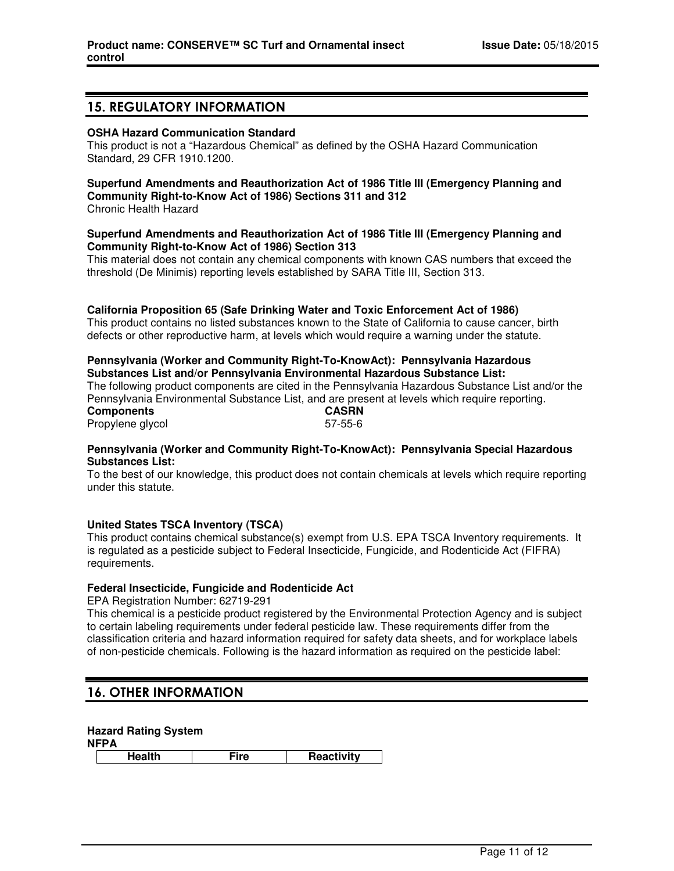### 15. REGULATORY INFORMATION

#### **OSHA Hazard Communication Standard**

This product is not a "Hazardous Chemical" as defined by the OSHA Hazard Communication Standard, 29 CFR 1910.1200.

# **Superfund Amendments and Reauthorization Act of 1986 Title III (Emergency Planning and Community Right-to-Know Act of 1986) Sections 311 and 312**

Chronic Health Hazard

#### **Superfund Amendments and Reauthorization Act of 1986 Title III (Emergency Planning and Community Right-to-Know Act of 1986) Section 313**

This material does not contain any chemical components with known CAS numbers that exceed the threshold (De Minimis) reporting levels established by SARA Title III, Section 313.

#### **California Proposition 65 (Safe Drinking Water and Toxic Enforcement Act of 1986)**

This product contains no listed substances known to the State of California to cause cancer, birth defects or other reproductive harm, at levels which would require a warning under the statute.

#### **Pennsylvania (Worker and Community Right-To-KnowAct): Pennsylvania Hazardous Substances List and/or Pennsylvania Environmental Hazardous Substance List:**

The following product components are cited in the Pennsylvania Hazardous Substance List and/or the Pennsylvania Environmental Substance List, and are present at levels which require reporting.<br> **CASRN Components** Propylene glycol 67-55-6

#### **Pennsylvania (Worker and Community Right-To-KnowAct): Pennsylvania Special Hazardous Substances List:**

To the best of our knowledge, this product does not contain chemicals at levels which require reporting under this statute.

#### **United States TSCA Inventory (TSCA)**

This product contains chemical substance(s) exempt from U.S. EPA TSCA Inventory requirements. It is regulated as a pesticide subject to Federal Insecticide, Fungicide, and Rodenticide Act (FIFRA) requirements.

#### **Federal Insecticide, Fungicide and Rodenticide Act**

EPA Registration Number: 62719-291

This chemical is a pesticide product registered by the Environmental Protection Agency and is subject to certain labeling requirements under federal pesticide law. These requirements differ from the classification criteria and hazard information required for safety data sheets, and for workplace labels of non-pesticide chemicals. Following is the hazard information as required on the pesticide label:

# 16. OTHER INFORMATION

#### **Hazard Rating System**

**NFPA**